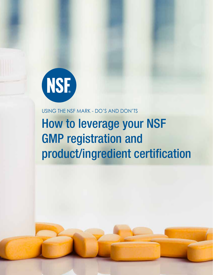

# USING THE NSF MARK - DO'S AND DON'TS How to leverage your NSF GMP registration and product/ingredient certification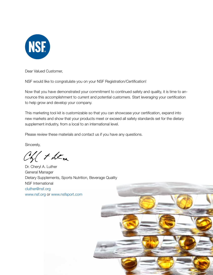

Dear Valued Customer,

NSF would like to congratulate you on your NSF Registration/Certification!

Now that you have demonstrated your commitment to continued safety and quality, it is time to announce this accomplishment to current and potential customers. Start leveraging your certification to help grow and develop your company.

This marketing tool kit is customizable so that you can showcase your certification, expand into new markets and show that your products meet or exceed all safety standards set for the dietary supplement industry, from a local to an international level.

Please review these materials and contact us if you have any questions.

Sincerely,

of them

Dr. Cheryl A. Luther General Manager Dietary Supplements, Sports Nutrition, Beverage Quality NSF International cluther@nsf.org www.nsf.org or www.nsfsport.com

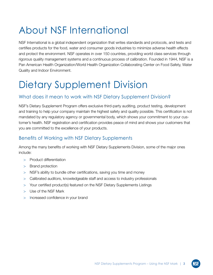# About NSF International

NSF International is a global independent organization that writes standards and protocols, and tests and certifies products for the food, water and consumer goods industries to minimize adverse health effects and protect the environment. NSF operates in over 150 countries, providing world class services through rigorous quality management systems and a continuous process of calibration. Founded in 1944, NSF is a Pan American Health Organization/World Health Organization Collaborating Center on Food Safety, Water Quality and Indoor Environment.

# Dietary Supplement Division

### What does it mean to work with NSF Dietary Supplement Division?

NSF's Dietary Supplement Program offers exclusive third-party auditing, product testing, development and training to help your company maintain the highest safety and quality possible. This certification is not mandated by any regulatory agency or governmental body, which shows your commitment to your customer's health. NSF registration and certification provides peace of mind and shows your customers that you are committed to the excellence of your products.

### Benefits of Working with NSF Dietary Supplements

Among the many benefits of working with NSF Dietary Supplements Division, some of the major ones include:

- > Product differentiation
- > Brand protection
- > NSF's ability to bundle other certifications, saving you time and money
- > Calibrated auditors, knowledgeable staff and access to industry professionals
- > Your certified product(s) featured on the NSF Dietary Supplements Listings
- > Use of the NSF Mark
- > Increased confidence in your brand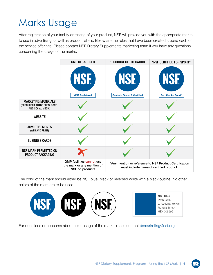# Marks Usage

After registration of your facility or testing of your product, NSF will provide you with the appropriate marks to use in advertising as well as product labels. Below are the rules that have been created around each of the service offerings. Please contact NSF Dietary Supplements marketing team if you have any questions concerning the usage of the marks.

|                                                                                 | <b>GMP REGISTERED</b>                                                             | *PRODUCT CERTIFICATION                                                                            | *NSF CERTIFIED FOR SPORT®                 |
|---------------------------------------------------------------------------------|-----------------------------------------------------------------------------------|---------------------------------------------------------------------------------------------------|-------------------------------------------|
|                                                                                 | <b>INSET</b><br><b>GMP Registered</b>                                             | <b>NSF</b><br><b>Contents Tested &amp; Certified</b>                                              | <b>NSF</b><br><b>Certified for Sport®</b> |
| <b>MARKETING MATERIALS</b><br>(BROCHURES, TRADE SHOW BOOTH<br>AND SOCIAL MEDIA) |                                                                                   |                                                                                                   |                                           |
| <b>WEBSITE</b>                                                                  |                                                                                   |                                                                                                   |                                           |
| <b>ADVERTISEMENTS</b><br>(WEB AND PRINT)                                        |                                                                                   |                                                                                                   |                                           |
| <b>BUSINESS CARDS</b>                                                           |                                                                                   |                                                                                                   |                                           |
| <b>NSF MARK PERMITTED ON</b><br>PRODUCT PACKAGING                               |                                                                                   |                                                                                                   |                                           |
|                                                                                 | <b>GMP facilities cannot use</b><br>the mark or any mention of<br>NSF on products | *Any mention or reference to NSF Product Certification<br>must include name of certified product. |                                           |

The color of the mark should either be NSF blue, black or reversed white with a black outline. No other colors of the mark are to be used.



For questions or concerns about color usage of the mark, please contact dsmarketing@nsf.org.

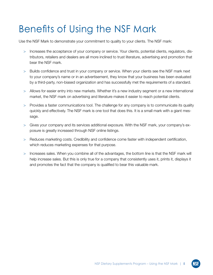# Benefits of Using the NSF Mark

Use the NSF Mark to demonstrate your commitment to quality to your clients. The NSF mark:

- > Increases the acceptance of your company or service. Your clients, potential clients, regulators, distributors, retailers and dealers are all more inclined to trust literature, advertising and promotion that bear the NSF mark.
- > Builds confidence and trust in your company or service. When your clients see the NSF mark next to your company's name or in an advertisement, they know that your business has been evaluated by a third-party, non-biased organization and has successfully met the requirements of a standard.
- > Allows for easier entry into new markets. Whether it's a new industry segment or a new international market, the NSF mark on advertising and literature makes it easier to reach potential clients.
- > Provides a faster communications tool. The challenge for any company is to communicate its quality quickly and effectively. The NSF mark is one tool that does this. It is a small mark with a giant message.
- > Gives your company and its services additional exposure. With the NSF mark, your company's exposure is greatly increased through NSF online listings.
- > Reduces marketing costs. Credibility and confidence come faster with independent certification, which reduces marketing expenses for that purpose.
- > Increases sales. When you combine all of the advantages, the bottom line is that the NSF mark will help increase sales. But this is only true for a company that consistently uses it, prints it, displays it and promotes the fact that the company is qualified to bear this valuable mark.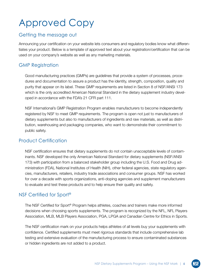# Approved Copy

#### Getting the message out

Announcing your certification on your website lets consumers and regulatory bodies know what differentiates your product. Below is a template of approved text about your registration/certification that can be used on your company's website as well as any marketing materials.

### GMP Registration

Good manufacturing practices (GMPs) are guidelines that provide a system of processes, procedures and documentation to assure a product has the identity, strength, composition, quality and purity that appear on its label. These GMP requirements are listed in Section 8 of NSF/ANSI 173 which is the only accredited American National Standard in the dietary supplement industry developed in accordance with the FDA's 21 CFR part 111.

NSF International's GMP Registration Program enables manufacturers to become independently registered by NSF to meet GMP requirements. The program is open not just to manufacturers of dietary supplements but also to manufacturers of ingredients and raw materials, as well as distribution, warehousing and packaging companies, who want to demonstrate their commitment to public safety.

### Product Certification

NSF certification ensures that dietary supplements do not contain unacceptable levels of contaminants. NSF developed the only American National Standard for dietary supplements (NSF/ANSI 173) with participation from a balanced stakeholder group including the U.S. Food and Drug administration (FDA), National Institutes of Health (NIH), other federal agencies, state regulatory agencies, manufacturers, retailers, industry trade associations and consumer groups. NSF has worked for over a decade with sports organizations, anti-doping agencies and supplement manufacturers to evaluate and test these products and to help ensure their quality and safety.

### NSF Certified for Sport®

The NSF Certified for Sport® Program helps athletes, coaches and trainers make more informed decisions when choosing sports supplements. The program is recognized by the NFL, NFL Players Association, MLB, MLB Players Association, PGA, LPGA and Canadian Centre for Ethics in Sports.

The NSF certification mark on your products helps athletes of all levels buy your supplements with confidence. Certified supplements must meet rigorous standards that include comprehensive lab testing and extensive evaluation of the manufacturing process to ensure contaminated substances or hidden ingredients are not added to a product.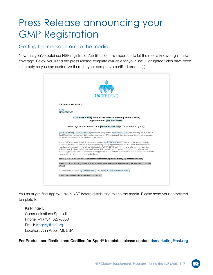### Press Release announcing your GMP Registration

#### Getting the message out to the media

Now that you've obtained NSF registration/certification, it's important to let the media know to gain news coverage. Below you'll find the press release template available for your use. Highlighted fields have been left empty so you can customize them for your company's certified product(s).



You must get final approval from NSF before distributing this to the media. Please send your completed template to:

Kelly Ingerly Communications Specialist Phone: +1 (734) 827-6850 Email: kingerly@nsf.org Location: Ann Arbor, MI, USA

For Product certification and Certified for Sport<sup>®</sup> templates please contact dsmarketing@nsf.org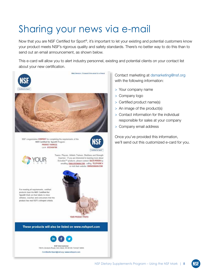# Sharing your news via e-mail

Web Version | Forward this email to a friend

Now that you are NSF Certified for Sport®, it's important to let your existing and potential customers know your product meets NSF's rigorous quality and safety standards. There's no better way to do this than to send out an email announcement, as shown below.

This e-card will allow you to alert industry personnel, existing and potential clients on your contact list about your new certification.





NSF congratulates COMPANY for completing the requirements of the NSF Certified for Sport® Program **PRODUCT NAME(S)** Lot # 0123456789





Teams, Players, Athletic Trainers, Dietitians and Strength Coaches - If you are interested in learning more about Scivation<sup>16</sup> products, please contact SALES PERSON by emailing EMAIL@DOMAIN.COM. calling TELEPHONE # or visit their website: WWW.DOMAIN.COM

For meeting all requirements, certified products bear the NSF Certified for Sport® Mark on their labels to show athletes, coaches and consumers that the product has met NSF's stringent criteria.



These products will also be listed on www.nsfsport.com



789 N. Dixboro Road, Ann Arbor, MI 48105 734 827 6856 Certifiedfor Sport@nsf.org | www.risfsport.com

Contact marketing at dsmarketing@nsf.org with the following information:

- > Your company name
- > Company logo
- > Certified product name(s)
- > An image of the product(s)
- > Contact information for the individual responsible for sales at your company
- > Company email address

Once you've provided this information, we'll send out this customized e-card for you.

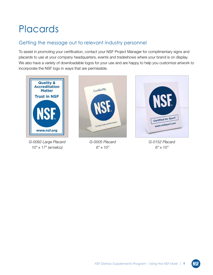### Placards

### Getting the message out to relevant industry personnel

To assist in promoting your certification, contact your NSF Project Manager for complimentary signs and placards to use at your company headquarters, events and tradeshows where your brand is on display. We also have a variety of downloadable logos for your use and are happy to help you customize artwork to incorporate the NSF logo in ways that are permissible.



*G-0092 Large Placard 10" x 17" (w/velco)*



*G-0005 Placard 6" x 10"*



*G-0152 Placard 6" x 10"*

**NSF**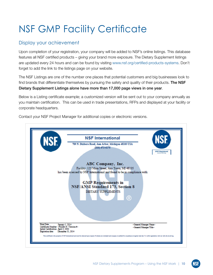# NSF GMP Facility Certificate

### Display your achievement

Upon completion of your registration, your company will be added to NSF's online listings. This database features all NSF certified products – giving your brand more exposure. The Dietary Supplement listings are updated every 24 hours and can be found by visiting www.nsf.org/certified-products-systems. Don't forget to add the link to the listings page on your website.

The NSF Listings are one of the number one places that potential customers and big businesses look to find brands that differentiate themselves by pursuing the safety and quality of their products. The NSF Dietary Supplement Listings alone have more than 17,000 page views in one year.

Below is a Listing certificate example; a customized version will be sent out to your company annually as you maintain certification. This can be used in trade presentations, RFPs and displayed at your facility or corporate headquarters.

**NSF International** 789 N. Dixboro Road, Ann Arbor, Michigan 48105 USA  $(800)$  673-6275 ABC Company, Inc. Facility: 123 Main Street, Any Town, MI 48105 has been assessed by NSF International and found to be in compliance with: **GMP Requirements in NSF/ANSI Standard 173, Section 8 DIETARY SUPPLEMENTS**  $\left( \mathsf{R}\right)$ General Manager Name v fi - Varsion fio <General Manager Title> ification: April 3, 2002 mber 31, 2014

Contact your NSF Project Manager for additional copies or electronic versions.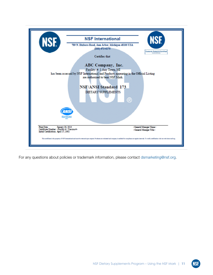

For any questions about policies or trademark information, please contact dsmarketing@nsf.org.